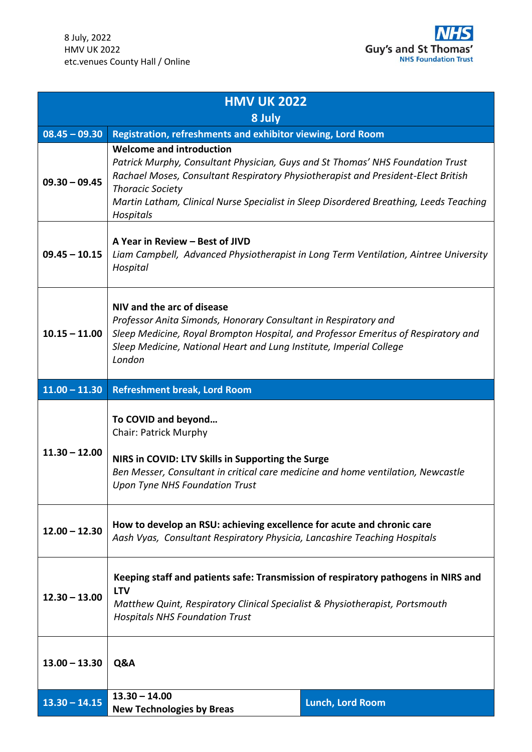

| <b>HMV UK 2022</b> |                                                                                                                                                                                                                                                                                                                                          |                         |
|--------------------|------------------------------------------------------------------------------------------------------------------------------------------------------------------------------------------------------------------------------------------------------------------------------------------------------------------------------------------|-------------------------|
| 8 July             |                                                                                                                                                                                                                                                                                                                                          |                         |
| $08.45 - 09.30$    | Registration, refreshments and exhibitor viewing, Lord Room                                                                                                                                                                                                                                                                              |                         |
| $09.30 - 09.45$    | <b>Welcome and introduction</b><br>Patrick Murphy, Consultant Physician, Guys and St Thomas' NHS Foundation Trust<br>Rachael Moses, Consultant Respiratory Physiotherapist and President-Elect British<br><b>Thoracic Society</b><br>Martin Latham, Clinical Nurse Specialist in Sleep Disordered Breathing, Leeds Teaching<br>Hospitals |                         |
| $09.45 - 10.15$    | A Year in Review – Best of JIVD<br>Liam Campbell, Advanced Physiotherapist in Long Term Ventilation, Aintree University<br>Hospital                                                                                                                                                                                                      |                         |
| $10.15 - 11.00$    | NIV and the arc of disease<br>Professor Anita Simonds, Honorary Consultant in Respiratory and<br>Sleep Medicine, Royal Brompton Hospital, and Professor Emeritus of Respiratory and<br>Sleep Medicine, National Heart and Lung Institute, Imperial College<br>London                                                                     |                         |
| $11.00 - 11.30$    | <b>Refreshment break, Lord Room</b>                                                                                                                                                                                                                                                                                                      |                         |
| $11.30 - 12.00$    | To COVID and beyond<br><b>Chair: Patrick Murphy</b><br>NIRS in COVID: LTV Skills in Supporting the Surge<br>Ben Messer, Consultant in critical care medicine and home ventilation, Newcastle<br><b>Upon Tyne NHS Foundation Trust</b>                                                                                                    |                         |
| $12.00 - 12.30$    | How to develop an RSU: achieving excellence for acute and chronic care<br>Aash Vyas, Consultant Respiratory Physicia, Lancashire Teaching Hospitals                                                                                                                                                                                      |                         |
| $12.30 - 13.00$    | Keeping staff and patients safe: Transmission of respiratory pathogens in NIRS and<br><b>LTV</b><br>Matthew Quint, Respiratory Clinical Specialist & Physiotherapist, Portsmouth<br><b>Hospitals NHS Foundation Trust</b>                                                                                                                |                         |
| $13.00 - 13.30$    | Q&A                                                                                                                                                                                                                                                                                                                                      |                         |
| $13.30 - 14.15$    | $13.30 - 14.00$<br><b>New Technologies by Breas</b>                                                                                                                                                                                                                                                                                      | <b>Lunch, Lord Room</b> |